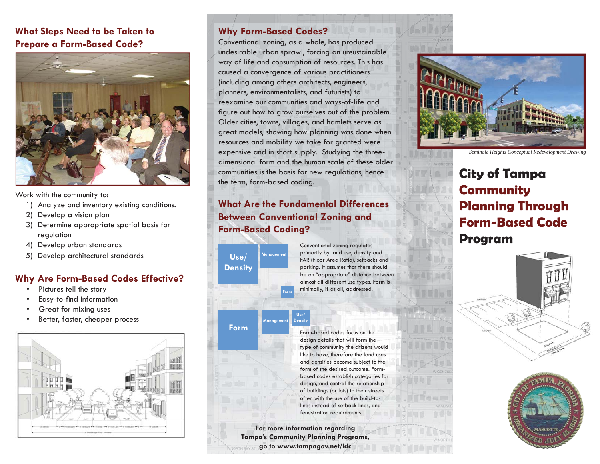### **What Steps Need to be Taken to Prepare a Form-Based Code?**



Work with the community to:

- 1) Analyze and inventory existing conditions.
- 2) Develop a vision plan
- 3) Determine appropriate spatial basis for regulation
- 4) Develop urban standards
- 5) Develop architectural standards

### **Why Are Form-Based Codes Effective?**

- Pictures tell the story
- Easy-to-find information
- Great for mixing uses
- Better, faster, cheaper process



### **Why Form-Based Codes?**

Conventional zoning, as a whole, has produced undesirable urban sprawl, forcing an unsustainable way of life and consumption of resources. This has caused a convergence of various practitioners (including among others architects, engineers, planners, environmentalists, and futurists) to reexamine our communities and ways-of-life and figure out how to grow ourselves out of the problem. Older cities, towns, villages, and hamlets serve as great models, showing how planning was done when resources and mobility we take for granted were expensive and in short supply. Studying the threedimensional form and the human scale of these older communities is the basis for new regulations, hence the term, form-based coding.

# **What Are the Fundamental Differences Between Conventional Zoning and Form-Based Coding?**

**Use/ Density Management**

**Form**

Conventional zoning regulates primarily by land use, density and FAR (Floor Area Ratio), setbacks and parking. It assumes that there should be an "appropriate" distance between almost all different use types. Form is minimally, if at all, addressed.

**Management Use/ Density**

**Form**

Form-based codes focus on the design details that will form the type of community the citizens would like to have, therefore the land uses and densities become subject to the form of the desired outcome. Formbased codes establish categories for design, and control the relationship of buildings (or lots) to their streets often with the use of the build-tolines instead of setback lines, and fenestration requirements.

**For more information regarding Tampa's Community Planning Programs, go to www.tampagov.net/ldc**



*Seminole Heights Conceptual Redevelopment Drawing*

# **City of Tampa Community Planning Through Form-Based CodeProgram**